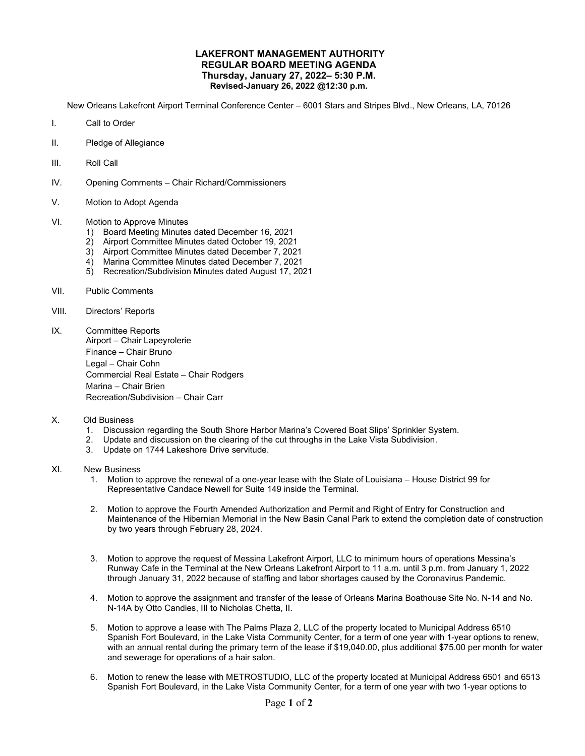## **LAKEFRONT MANAGEMENT AUTHORITY REGULAR BOARD MEETING AGENDA Thursday, January 27, 2022– 5:30 P.M. Revised-January 26, 2022 @12:30 p.m.**

New Orleans Lakefront Airport Terminal Conference Center – 6001 Stars and Stripes Blvd., New Orleans, LA, 70126

- I. Call to Order
- II. Pledge of Allegiance
- III. Roll Call
- IV. Opening Comments Chair Richard/Commissioners
- V. Motion to Adopt Agenda
- VI. Motion to Approve Minutes
	- 1) Board Meeting Minutes dated December 16, 2021
	- 2) Airport Committee Minutes dated October 19, 2021
	- 3) Airport Committee Minutes dated December 7, 2021
	- 4) Marina Committee Minutes dated December 7, 2021
	- 5) Recreation/Subdivision Minutes dated August 17, 2021
- VII. Public Comments
- VIII. Directors' Reports
- IX. Committee Reports Airport – Chair Lapeyrolerie Finance – Chair Bruno Legal – Chair Cohn Commercial Real Estate – Chair Rodgers Marina – Chair Brien Recreation/Subdivision – Chair Carr
- X. Old Business
	- 1. Discussion regarding the South Shore Harbor Marina's Covered Boat Slips' Sprinkler System.
	- 2. Update and discussion on the clearing of the cut throughs in the Lake Vista Subdivision.
	- 3. Update on 1744 Lakeshore Drive servitude.
- XI. New Business
	- 1. Motion to approve the renewal of a one-year lease with the State of Louisiana House District 99 for Representative Candace Newell for Suite 149 inside the Terminal.
	- 2. Motion to approve the Fourth Amended Authorization and Permit and Right of Entry for Construction and Maintenance of the Hibernian Memorial in the New Basin Canal Park to extend the completion date of construction by two years through February 28, 2024.
	- 3. Motion to approve the request of Messina Lakefront Airport, LLC to minimum hours of operations Messina's Runway Cafe in the Terminal at the New Orleans Lakefront Airport to 11 a.m. until 3 p.m. from January 1, 2022 through January 31, 2022 because of staffing and labor shortages caused by the Coronavirus Pandemic.
	- 4. Motion to approve the assignment and transfer of the lease of Orleans Marina Boathouse Site No. N-14 and No. N-14A by Otto Candies, III to Nicholas Chetta, II.
	- 5. Motion to approve a lease with The Palms Plaza 2, LLC of the property located to Municipal Address 6510 Spanish Fort Boulevard, in the Lake Vista Community Center, for a term of one year with 1-year options to renew, with an annual rental during the primary term of the lease if \$19,040.00, plus additional \$75.00 per month for water and sewerage for operations of a hair salon.
	- 6. Motion to renew the lease with METROSTUDIO, LLC of the property located at Municipal Address 6501 and 6513 Spanish Fort Boulevard, in the Lake Vista Community Center, for a term of one year with two 1-year options to